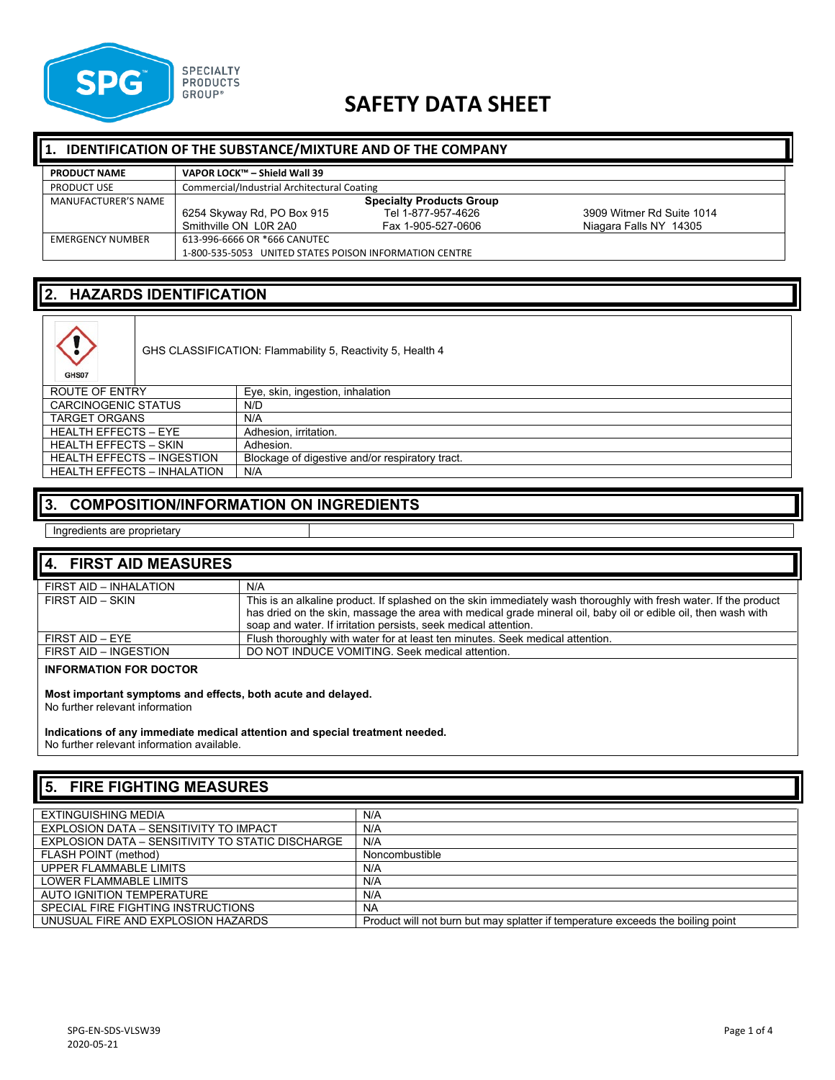

# **SAFETY DATA SHEET**

#### **1. IDENTIFICATION OF THE SUBSTANCE/MIXTURE AND OF THE COMPANY**

| <b>PRODUCT NAME</b> | VAPOR LOCK™ - Shield Wall 39                           |                    |                           |
|---------------------|--------------------------------------------------------|--------------------|---------------------------|
| <b>PRODUCT USE</b>  | Commercial/Industrial Architectural Coating            |                    |                           |
| MANUFACTURER'S NAME | <b>Specialty Products Group</b>                        |                    |                           |
|                     | 6254 Skyway Rd, PO Box 915                             | Tel 1-877-957-4626 | 3909 Witmer Rd Suite 1014 |
|                     | Smithville ON L0R 2A0                                  | Fax 1-905-527-0606 | Niagara Falls NY 14305    |
| EMERGENCY NUMBER    | 613-996-6666 OR *666 CANUTEC                           |                    |                           |
|                     | 1-800-535-5053 UNITED STATES POISON INFORMATION CENTRE |                    |                           |

## **2. HAZARDS IDENTIFICATION**

GHS CLASSIFICATION: Flammability 5, Reactivity 5, Health 4

| $rac{1}{2}$                        |                                                 |
|------------------------------------|-------------------------------------------------|
| ROUTE OF ENTRY                     | Eye, skin, ingestion, inhalation                |
| <b>CARCINOGENIC STATUS</b>         | N/D                                             |
| <b>TARGET ORGANS</b>               | N/A                                             |
| <b>HEALTH EFFECTS - EYE</b>        | Adhesion, irritation,                           |
| <b>HEALTH EFFECTS - SKIN</b>       | Adhesion.                                       |
| <b>HEALTH EFFECTS - INGESTION</b>  | Blockage of digestive and/or respiratory tract. |
| <b>HEALTH EFFECTS - INHALATION</b> | N/A                                             |

#### **3. COMPOSITION/INFORMATION ON INGREDIENTS**

Ingredients are proprietary

| 4. FIRST AID MEASURES  |                                                                                                                                                                                                                                                                                                        |
|------------------------|--------------------------------------------------------------------------------------------------------------------------------------------------------------------------------------------------------------------------------------------------------------------------------------------------------|
| FIRST AID - INHALATION | N/A                                                                                                                                                                                                                                                                                                    |
| FIRST AID - SKIN       | This is an alkaline product. If splashed on the skin immediately wash thoroughly with fresh water. If the product<br>has dried on the skin, massage the area with medical grade mineral oil, baby oil or edible oil, then wash with<br>soap and water. If irritation persists, seek medical attention. |
| FIRST AID - EYE        | Flush thoroughly with water for at least ten minutes. Seek medical attention.                                                                                                                                                                                                                          |
| FIRST AID - INGESTION  | DO NOT INDUCE VOMITING. Seek medical attention.                                                                                                                                                                                                                                                        |

#### **INFORMATION FOR DOCTOR**

**Most important symptoms and effects, both acute and delayed.**

No further relevant information

**Indications of any immediate medical attention and special treatment needed.** No further relevant information available.

# **5. FIRE FIGHTING MEASURES**

| N/A                                                                             |
|---------------------------------------------------------------------------------|
|                                                                                 |
| N/A                                                                             |
| N/A                                                                             |
|                                                                                 |
| Noncombustible                                                                  |
| N/A                                                                             |
|                                                                                 |
| N/A                                                                             |
| N/A                                                                             |
|                                                                                 |
| <b>NA</b>                                                                       |
| Product will not burn but may splatter if temperature exceeds the boiling point |
|                                                                                 |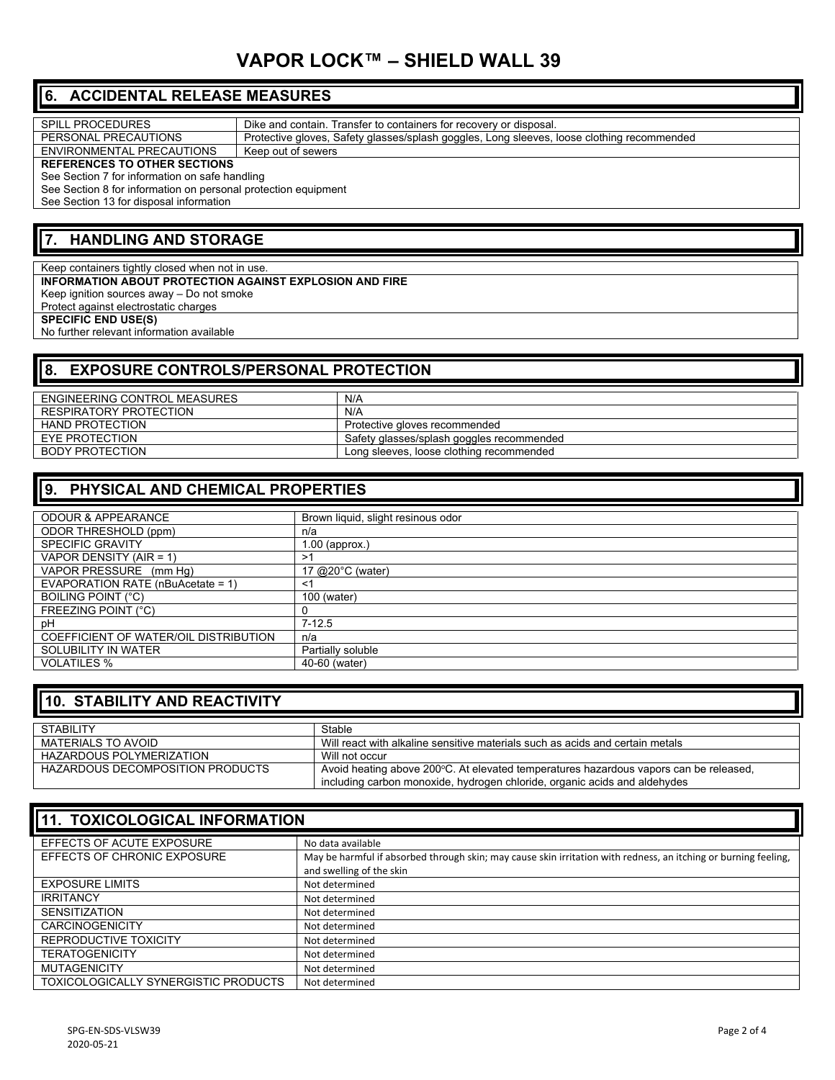# **VAPOR LOCK™ – SHIELD WALL 39**

## **6. ACCIDENTAL RELEASE MEASURES**

| <b>SPILL PROCEDURES</b>                                        | Dike and contain. Transfer to containers for recovery or disposal.                         |  |
|----------------------------------------------------------------|--------------------------------------------------------------------------------------------|--|
| PERSONAL PRECAUTIONS                                           | Protective gloves, Safety glasses/splash goggles, Long sleeves, loose clothing recommended |  |
| ENVIRONMENTAL PRECAUTIONS                                      | Keep out of sewers                                                                         |  |
| <b>REFERENCES TO OTHER SECTIONS</b>                            |                                                                                            |  |
| See Section 7 for information on safe handling                 |                                                                                            |  |
| See Section 8 for information on personal protection equipment |                                                                                            |  |
| See Section 13 for disposal information                        |                                                                                            |  |

#### **7. HANDLING AND STORAGE**

Keep containers tightly closed when not in use. **INFORMATION ABOUT PROTECTION AGAINST EXPLOSION AND FIRE** Keep ignition sources away – Do not smoke Protect against electrostatic charges **SPECIFIC END USE(S)**  No further relevant information available

# **8. EXPOSURE CONTROLS/PERSONAL PROTECTION**

| ENGINEERING CONTROL MEASURES | N/A                                       |
|------------------------------|-------------------------------------------|
| RESPIRATORY PROTECTION       | N/A                                       |
| HAND PROTECTION              | Protective gloves recommended             |
| EYE PROTECTION               | Safety glasses/splash goggles recommended |
| BODY PROTECTION              | Long sleeves, loose clothing recommended  |

#### **9. PHYSICAL AND CHEMICAL PROPERTIES**

| <b>ODOUR &amp; APPEARANCE</b>         | Brown liquid, slight resinous odor |
|---------------------------------------|------------------------------------|
| ODOR THRESHOLD (ppm)                  | n/a                                |
| <b>SPECIFIC GRAVITY</b>               | $.00$ (approx.)                    |
| VAPOR DENSITY (AIR = 1)               | >1                                 |
| VAPOR PRESSURE (mm Hq)                | 17 @20°C (water)                   |
| EVAPORATION RATE (nBuAcetate = 1)     | $\leq$                             |
| <b>BOILING POINT (°C)</b>             | 100 (water)                        |
| <b>FREEZING POINT (°C)</b>            |                                    |
| pH                                    | $7-12.5$                           |
| COEFFICIENT OF WATER/OIL DISTRIBUTION | n/a                                |
| SOLUBILITY IN WATER                   | Partially soluble                  |
| <b>VOLATILES %</b>                    | 40-60 (water)                      |

#### **10. STABILITY AND REACTIVITY**

| <b>STABILITY</b>                 | Stable                                                                                |
|----------------------------------|---------------------------------------------------------------------------------------|
| MATERIALS TO AVOID               | Will react with alkaline sensitive materials such as acids and certain metals         |
| HAZARDOUS POLYMERIZATION         | Will not occur                                                                        |
| HAZARDOUS DECOMPOSITION PRODUCTS | Avoid heating above 200°C. At elevated temperatures hazardous vapors can be released, |
|                                  | including carbon monoxide, hydrogen chloride, organic acids and aldehydes             |

| <b>11. TOXICOLOGICAL INFORMATION</b>        |                                                                                                                                             |  |
|---------------------------------------------|---------------------------------------------------------------------------------------------------------------------------------------------|--|
| EFFECTS OF ACUTE EXPOSURE                   | No data available                                                                                                                           |  |
| EFFECTS OF CHRONIC EXPOSURE                 | May be harmful if absorbed through skin; may cause skin irritation with redness, an itching or burning feeling,<br>and swelling of the skin |  |
| <b>EXPOSURE LIMITS</b>                      | Not determined                                                                                                                              |  |
| <b>IRRITANCY</b>                            | Not determined                                                                                                                              |  |
| <b>SENSITIZATION</b>                        | Not determined                                                                                                                              |  |
| <b>CARCINOGENICITY</b>                      | Not determined                                                                                                                              |  |
| REPRODUCTIVE TOXICITY                       | Not determined                                                                                                                              |  |
| <b>TERATOGENICITY</b>                       | Not determined                                                                                                                              |  |
| <b>MUTAGENICITY</b>                         | Not determined                                                                                                                              |  |
| <b>TOXICOLOGICALLY SYNERGISTIC PRODUCTS</b> | Not determined                                                                                                                              |  |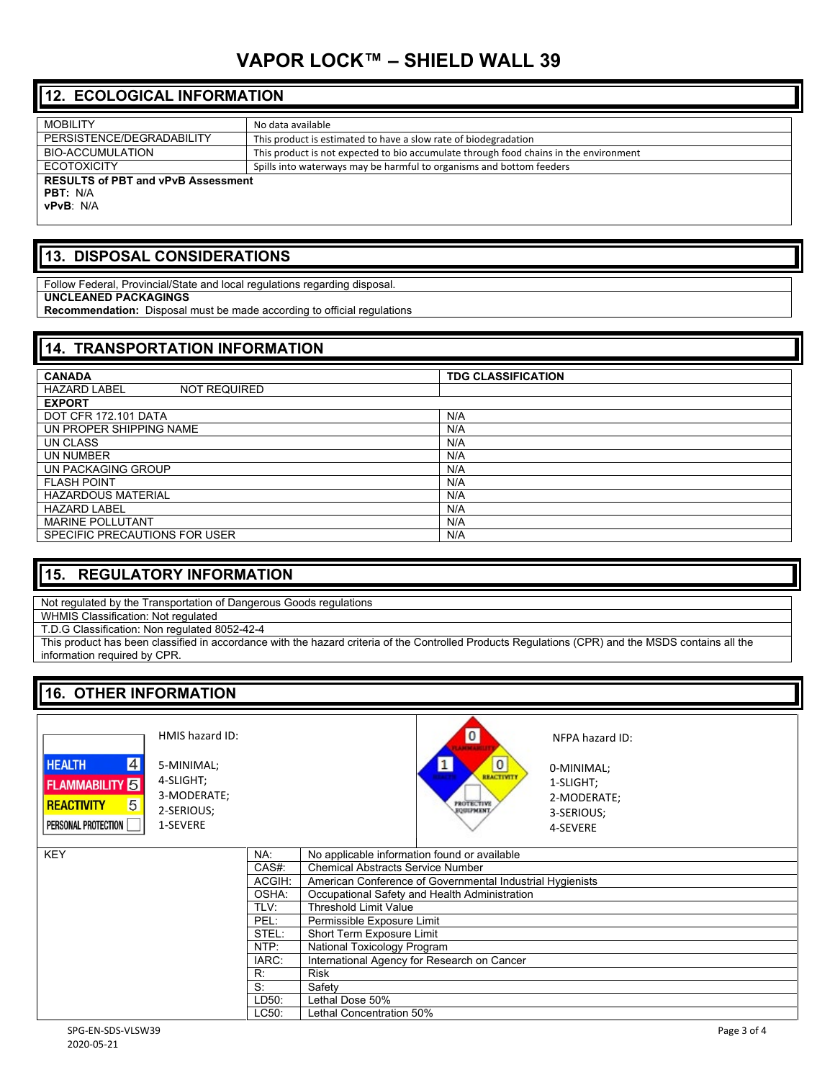# **VAPOR LOCK™ – SHIELD WALL 39**

# **12. ECOLOGICAL INFORMATION**

| <b>MOBILITY</b>                                                           | No data available                                                                     |
|---------------------------------------------------------------------------|---------------------------------------------------------------------------------------|
| PERSISTENCE/DEGRADABILITY                                                 | This product is estimated to have a slow rate of biodegradation                       |
| BIO-ACCUMULATION                                                          | This product is not expected to bio accumulate through food chains in the environment |
| <b>ECOTOXICITY</b>                                                        | Spills into waterways may be harmful to organisms and bottom feeders                  |
| <b>RESULTS of PBT and vPvB Assessment</b><br><b>PBT:</b> N/A<br>vPvB: N/A |                                                                                       |

#### **13. DISPOSAL CONSIDERATIONS**

Follow Federal, Provincial/State and local regulations regarding disposal.

#### **UNCLEANED PACKAGINGS**

**Recommendation:** Disposal must be made according to official regulations

| <b>14. TRANSPORTATION INFORMATION</b>      |                           |
|--------------------------------------------|---------------------------|
| <b>CANADA</b>                              | <b>TDG CLASSIFICATION</b> |
| <b>HAZARD LABEL</b><br><b>NOT REQUIRED</b> |                           |
| <b>EXPORT</b>                              |                           |
| DOT CFR 172.101 DATA                       | N/A                       |
| UN PROPER SHIPPING NAME                    | N/A                       |
| UN CLASS                                   | N/A                       |
| UN NUMBER                                  | N/A                       |
| UN PACKAGING GROUP                         | N/A                       |
| <b>FLASH POINT</b>                         | N/A                       |
| <b>HAZARDOUS MATERIAL</b>                  | N/A                       |
| <b>HAZARD LABEL</b>                        | N/A                       |
| <b>MARINE POLLUTANT</b>                    | N/A                       |
| SPECIFIC PRECAUTIONS FOR USER              | N/A                       |

### **15. REGULATORY INFORMATION**

Not regulated by the Transportation of Dangerous Goods regulations

WHMIS Classification: Not regulated

T.D.G Classification: Non regulated 8052-42-4

This product has been classified in accordance with the hazard criteria of the Controlled Products Regulations (CPR) and the MSDS contains all the information required by CPR.

# **16. OTHER INFORMATION**



5-MINIMAL; 4-SLIGHT; 3-MODERATE; 2-SERIOUS; 1-SEVERE

HMIS hazard ID:



NFPA hazard ID:

0-MINIMAL; 1-SLIGHT; 2-MODERATE; 3-SERIOUS; 4-SEVERE

| <b>KEY</b> | NA:    | No applicable information found or available              |
|------------|--------|-----------------------------------------------------------|
|            | CAS#:  | <b>Chemical Abstracts Service Number</b>                  |
|            | ACGIH: | American Conference of Governmental Industrial Hygienists |
|            | OSHA:  | Occupational Safety and Health Administration             |
|            | TLV:   | <b>Threshold Limit Value</b>                              |
|            | PEL:   | Permissible Exposure Limit                                |
|            | STEL:  | Short Term Exposure Limit                                 |
|            | NTP:   | National Toxicology Program                               |
|            | IARC:  | International Agency for Research on Cancer               |
|            | R:     | Risk                                                      |
|            | S:     | Safety                                                    |
|            | LD50.  | Lethal Dose 50%                                           |
|            | LC50:  | Lethal Concentration 50%                                  |